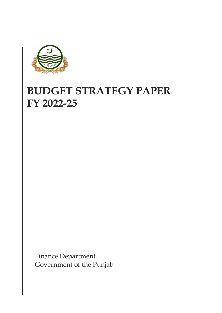

# **BUDGET STRATEGY PAPER FY 2022-25**

Finance Department Government of the Punjab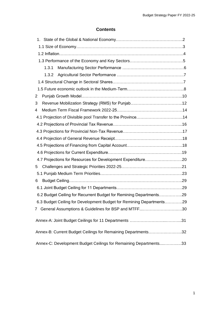# **Contents**

| 1.3.1          |                                                                      |  |
|----------------|----------------------------------------------------------------------|--|
| 1.3.2          |                                                                      |  |
|                |                                                                      |  |
|                |                                                                      |  |
| $\overline{2}$ |                                                                      |  |
| 3              |                                                                      |  |
| 4              |                                                                      |  |
|                |                                                                      |  |
|                |                                                                      |  |
|                |                                                                      |  |
|                |                                                                      |  |
|                |                                                                      |  |
|                |                                                                      |  |
|                | 4.7 Projections for Resources for Development Expenditure20          |  |
| 5              |                                                                      |  |
|                |                                                                      |  |
| 6              |                                                                      |  |
|                |                                                                      |  |
|                | 6.2 Budget Ceiling for Recurrent Budget for Remining Departments29   |  |
|                | 6.3 Budget Ceiling for Development Budget for Remining Departments29 |  |
|                | 7 General Assumptions & Guidelines for BSP and MTFF30                |  |
|                |                                                                      |  |
|                |                                                                      |  |
|                | Annex-B: Current Budget Ceilings for Remaining Departments32         |  |
|                | Annex-C: Development Budget Ceilings for Remaining Departments33     |  |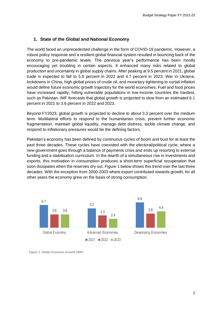# **1. State of the Global and National Economy**

The world faced an unprecedented challenge in the form of COVID-19 pandemic. However, a robust policy response and a resilient global financial system resulted in bouncing back of the economy to pre-pandemic levels. The previous year's performance has been mostly encouraging yet troubling in certain aspects. It enhanced many risks related to global production and uncertainty in global supply chains. After peaking at 9.5 percent in 2021, global trade is expected to fall to 5.8 percent in 2022 and 4.7 percent in 2023. War in Ukraine, lockdowns in China, high global prices of crude oil, and monetary tightening to curtail inflation would define future economic growth trajectory for the world economies. Fuel and food prices have increased rapidly, hitting vulnerable populations in low-income countries the hardest, such as Pakistan. IMF forecasts that global growth is projected to slow from an estimated 6.1 percent in 2021 to 3.6 percent in 2022 and 2023.

Beyond FY2023, global growth is projected to decline to about 3.3 percent over the medium term. Multilateral efforts to respond to the humanitarian crisis, prevent further economic fragmentation, maintain global liquidity, manage debt distress, tackle climate change, and respond to inflationary pressures would be the defining factors.

Pakistan's economy has been defined by continuous cycles of boom and bust for at least the past three decades. These cycles have coexisted with the electoral/political cycle, where a new government goes through a balance of payments crisis and ends up resorting to external funding and a stabilisation curriculum. In the dearth of a simultaneous rise in investments and exports, this motivation in consumption produces a short-term superficial recuperation that soon dissipates when the reserves dry out. Figure 1 below shows this trend over the last three decades. With the exception from 2000-2003 where export contributed towards growth, for all other years the economy grew on the basis of strong consumption.



*Figure 1: Global Economic Growth (IMF)*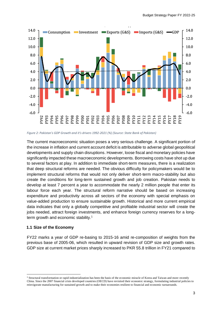

*Figure 2: Pakistan's GDP Growth and it's drivers 1992-2021 (%) (Source: State Bank of Pakistan)*

The current macroeconomic situation poses a very serious challenge. A significant portion of the increase in inflation and current account deficit is attributable to adverse global geopolitical developments and supply chain disruptions. However, loose fiscal and monetary policies have significantly impacted these macroeconomic developments. Borrowing costs have shot up due to several factors at play. In addition to immediate short-term measures, there is a realization that deep structural reforms are needed. The obvious difficulty for policymakers would be to implement structural reforms that would not only deliver short-term macro-stability but also create the conditions for long-term sustained growth and job creation. Pakistan needs to develop at least 7 percent a year to accommodate the nearly 2 million people that enter its labour force each year. The structural reform narrative should be based on increasing expenditure and productivity across all sectors of the economy with special emphasis on value-added production to ensure sustainable growth. Historical and more current empirical data indicates that only a globally competitive and profitable industrial sector will create the jobs needed, attract foreign investments, and enhance foreign currency reserves for a longterm growth and economic stability.<sup>1</sup>

#### **1.1 Size of the Economy**

FY22 marks a year of GDP re-basing to 2015-16 amid re-composition of weights from the previous base of 2005-06, which resulted in upward revision of GDP size and growth rates. GDP size at current market prices sharply increased to PKR 55.8 trillion in FY21 compared to

<sup>1</sup> Structural transformation or rapid industrialization has been the basis of the economic miracle of Korea and Taiwan and more recently China. Since the 2007 financial crisis developed countries (OECD) have revisited their economic strategy, formulating industrial policies to reinvigorate manufacturing for sustained growth and to make their economies resilient to financial and economic turnarounds.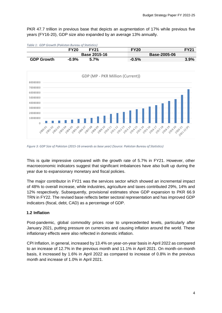PKR 47.7 trillion in previous base that depicts an augmentation of 17% while previous five years (FY16-20), GDP size also expanded by an average 13% annually.

| Table 1. GDP Growth (Pakistan Bureau Of Statistics) |             |                     |             |                     |
|-----------------------------------------------------|-------------|---------------------|-------------|---------------------|
|                                                     | <b>FY20</b> | <b>FY21</b>         | <b>FY20</b> | <b>FY21</b>         |
|                                                     |             | <b>Base 2015-16</b> |             | <b>Base-2005-06</b> |
| <b>GDP Growth</b>                                   | $-0.9%$     | 5.7%                | $-0.5%$     | $3.9\%$             |





*Figure 3: GDP Size of Pakistan (2015-16 onwards as base year) (Source: Pakistan Bureau of Statistics)*

This is quite impressive compared with the growth rate of 5.7% in FY21. However, other macroeconomic indicators suggest that significant imbalances have also built up during the year due to expansionary monetary and fiscal policies.

The major contributor in FY21 was the services sector which showed an incremental impact of 48% to overall increase, while industries, agriculture and taxes contributed 29%, 14% and 12% respectively. Subsequently, provisional estimates show GDP expansion to PKR 66.9 TRN in FY22. The revised base reflects better sectoral representation and has improved GDP indicators (fiscal, debt, CAD) as a percentage of GDP.

#### **1.2 Inflation**

Post-pandemic, global commodity prices rose to unprecedented levels, particularly after January 2021, putting pressure on currencies and causing inflation around the world. These inflationary effects were also reflected in domestic inflation.

CPI Inflation, in general, increased by 13.4% on year-on-year basis in April 2022 as compared to an increase of 12.7% in the previous month and 11.1% in April 2021. On month-on-month basis, it increased by 1.6% in April 2022 as compared to increase of 0.8% in the previous month and increase of 1.0% in April 2021.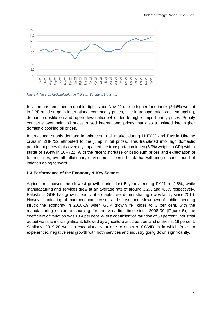

*Figure 4: Pakistan National Inflation (Pakistan Bureau of Statistics)*

Inflation has remained in double digits since Nov-21 due to higher food index (34.6% weight in CPI) amid surge in international commodity prices, hike in transportation cost, smuggling, demand substitution and rupee devaluation which led to higher import parity prices. Supply concerns over palm oil prices raised international prices that also translated into higher domestic cooking oil prices.

International supply demand imbalances in oil market during 1HFY22 and Russia-Ukraine crisis in 2HFY22 attributed to the jump in oil prices. This translated into high domestic petroleum prices that adversely impacted the transportation index (5.9% weight in CPI) with a surge of 19.4% in 10FY22. With the recent increase of petroleum prices and expectation of further hikes, overall inflationary environment seems bleak that will bring second round of inflation going forward.

#### **1.3 Performance of the Economy & Key Sectors**

Agriculture showed the slowest growth during last 5 years, ending FY21 at 2.8%, while manufacturing and services grew at an average rate of around 3.2% and 4.3% respectively. Pakistan's GDP has grown steadily at a stable rate, demonstrating low volatility since 2010. However, unfolding of macroeconomic crises and subsequent slowdown of public spending struck the economy in 2018-19 when GDP growth fell close to 3 per cent, with the manufacturing sector outsourcing for the very first time since 2008-09 (Figure 5); the coefficient of variation was 18.4 per cent. With a coefficient of variation of 58 percent, industrial output was the most significant, followed by agriculture at 52 percent and utilities at 19 percent. Similarly, 2019-20 was an exceptional year due to onset of COVID-19 in which Pakistan experienced negative real growth with both services and industry going down significantly.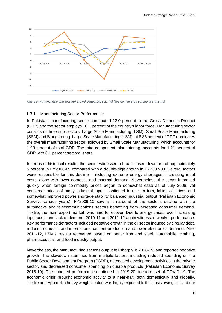

*Figure 5: National GDP and Sectoral Growth Rates, 2016-21 (%) (Source: Pakistan Bureau of Statistics)*

# 1.3.1 Manufacturing Sector Performance

In Pakistan, manufacturing sector contributed 12.0 percent to the Gross Domestic Product (GDP) and the sector employs 16.1 percent of the country's labor force. Manufacturing sector consists of three sub-sectors: Large Scale Manufacturing (LSM), Small Scale Manufacturing (SSM) and Slaughtering. Large Scale Manufacturing (LSM), at 8.86 percent of GDP dominates the overall manufacturing sector, followed by Small Scale Manufacturing, which accounts for 1.93 percent of total GDP. The third component, slaughtering, accounts for 1.21 percent of GDP with 6.1 percent sectoral share.

In terms of historical results, the sector witnessed a broad-based downturn of approximately 5 percent in FY2008-09 compared with a double-digit growth in FY2007-08. Several factors were responsible for this decline— including extreme energy shortages, increasing input costs, along with lower domestic and external demand. Nevertheless, the sector improved quickly when foreign commodity prices began to somewhat ease as of July 2008; yet consumer prices of many industrial inputs continued to rise. In turn, falling oil prices and somewhat improved power shortage stability balanced industrial output (Pakistan Economic Survey, various years). FY2009-10 saw a turnaround of the sector's decline with the automotive and telecommunications sectors benefiting from increased consumer demand. Textile, the main export market, was hard to recover. Due to energy crises, ever-increasing input costs and lack of demand, 2010-11 and 2011-12 again witnessed weaker performance. Key performance detractors included negative growth in the oil sector induced by circular debt, reduced domestic and international cement production and lower electronics demand. After 2011-12, LSM's results recovered based on better iron and steel, automobile, clothing, pharmaceutical, and food industry output.

Nevertheless, the manufacturing sector's output fell sharply in 2018-19, and reported negative growth. The slowdown stemmed from multiple factors, including reduced spending on the Public Sector Development Program (PSDP), decreased development activities in the private sector, and decreased consumer spending on durable products (Pakistan Economic Survey 2018-19). The subdued performance continued in 2019-20 due to onset of COVID-19. The economic crisis brought economic activity to a near-halt, both domestically and globally. Textile and Apparel, a heavy weight sector, was highly exposed to this crisis owing to its labour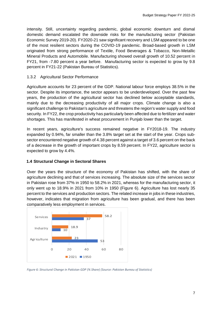intensity. Still, uncertainty regarding pandemic, global economic downturn and dismal domestic demand escalated the downside risks for the manufacturing sector (Pakistan Economic Survey 2019-20). FY2020-21 saw significant recovery and LSM appeared to be one of the most resilient sectors during the COVID-19 pandemic. Broad-based growth in LSM originated from strong performance of Textile, Food Beverages & Tobacco, Non-Metallic Mineral Products and Automobile. Manufacturing showed overall growth of 10.52 percent in FY21, from -7.80 percent a year before. Manufacturing sector is expected to grow by 9.8 percent in FY21-22 (Pakistan Bureau of Statistics).

#### 1.3.2 Agricultural Sector Performance

Agriculture accounts for 23 percent of the GDP. National labour force employs 38.5% in the sector. Despite its importance, the sector appears to be underdeveloped. Over the past few years, the production of the agricultural sector has declined below acceptable standards, mainly due to the decreasing productivity of all major crops. Climate change is also a significant challenge to Pakistan's agriculture and threatens the region's water supply and food security. In FY22, the crop productivity has particularly been affected due to fertilizer and water shortages. This has manifested in wheat procurement in Punjab lower than the target.

In recent years, agriculture's success remained negative in FY2018-19. The industry expanded by 0.94%, far smaller than the 3.8% target set at the start of the year. Crops subsector encountered negative growth of 4.38 percent against a target of 3.6 percent on the back of a decrease in the growth of important crops by 8.59 percent. In FY22, agriculture sector is expected to grow by 4.4%.

#### **1.4 Structural Change in Sectoral Shares**

Over the years the structure of the economy of Pakistan has shifted, with the share of agriculture declining and that of services increasing. The absolute size of the services sector in Pakistan rose from 37% in 1950 to 58.2% in 2021, whereas for the manufacturing sector, it only went up to 18.9% in 2021 from 10% in 1950 (Figure 6). Agriculture has lost nearly 35 percent to the services and production sectors. The related increase in jobs in these industries, however, indicates that migration from agriculture has been gradual, and there has been comparatively less employment in services.



*Figure 6: Structural Change in Pakistan GDP (% Share) (Source: Pakistan Bureau of Statistics)*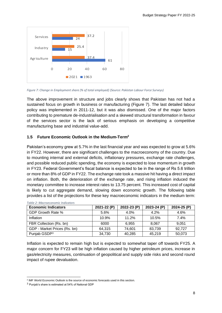

*Figure 7: Change in Employment share (% of total employed) (Source: Pakistan Labour Force Surveys)*

The above improvement in structure and jobs clearly shows that Pakistan has not had a sustained focus on growth in business or manufacturing (Figure 7). The last detailed labour policy was implemented in 2011-12, but it was also dismissed. One of the major factors contributing to premature de-industrialisation and a skewed structural transformation in favour of the services sector is the lack of serious emphasis on developing a competitive manufacturing base and industrial value-add.

# **1.5 Future Economic Outlook in the Medium-Term<sup>2</sup>**

Pakistan's economy grew at 5.7% in the last financial year and was expected to grow at 5.6% in FY22. However, there are significant challenges to the macroeconomy of the country. Due to mounting internal and external deficits, inflationary pressures, exchange rate challenges, and possible reduced public spending, the economy is expected to lose momentum in growth in FY23. Federal Government's fiscal balance is expected to be in the range of Rs 5.6 trillion or more than 8% of GDP in FY22. The exchange rate took a massive hit having a direct impact on inflation. Both, the deterioration of the exchange rate, and rising inflation induced the monetary committee to increase interest rates to 13.75 percent. This increased cost of capital is likely to cut aggregate demand, slowing down economic growth. The following table provides a list of the projections for these key macroeconomic indicators in the medium term:

| Table 2: Macroeconomic Indicators |             |             |             |             |  |  |  |
|-----------------------------------|-------------|-------------|-------------|-------------|--|--|--|
| <b>Economic Indicators</b>        | 2021-22 (P) | 2022-23 (P) | 2023-24 (P) | 2024-25 (P) |  |  |  |
| GDP Growth Rate %                 | 5.6%        | 4.0%        | $4.2\%$     | 4.6%        |  |  |  |
| Inflation                         | 10.9%       | 11.2%       | 10.5%       | $7.4\%$     |  |  |  |
| FBR Collection (Rs. bn)           | 6000        | 6,955       | 8.067       | 9,051       |  |  |  |
| GDP - Market Prices (Rs. bn)      | 64.315      | 74.601      | 83,739      | 92,727      |  |  |  |
| Punjab GSDP <sup>3</sup>          | 34,730      | 40,285      | 45,219      | 50,073      |  |  |  |

Inflation is expected to remain high but is expected to somewhat taper off towards FY25. A major concern for FY23 will be high inflation caused by higher petroleum prices, increase in gas/electricity measures, continuation of geopolitical and supply side risks and second round impact of rupee devaluation.

<sup>2</sup> IMF World Economic Outlook is the source of economic forecasts used in this section.

<sup>3</sup> Punjab's share is estimated at 54% of National GDP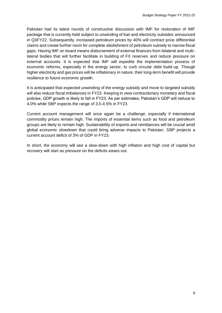Pakistan had its latest rounds of constructive discussion with IMF for restoration of IMF package that is currently held subject to unwinding of fuel and electricity subsides announced in Q3FY22. Subsequently, increased petroleum prices by 40% will contract price differential claims and create further room for complete abolishment of petroleum subsidy to narrow fiscal gaps. Having IMF on board means disbursement of external finances from bilateral and multilateral bodies that will further facilitate in building of FX reserves and reduce pressure on external accounts. It is expected that IMF will expedite the implementation process of economic reforms, especially in the energy sector, to curb circular debt build-up. Though higher electricity and gas prices will be inflationary in nature, their long-term benefit will provide resilience to future economic growth.

It is anticipated that expected unwinding of the energy subsidy and move to targeted subsidy will also reduce fiscal imbalances in FY23. Keeping in view contractionary monetary and fiscal policies, GDP growth is likely to fall in FY23. As per estimates, Pakistan's GDP will reduce to 4.0% while SBP expects the range of 3.5-4.5% in FY23.

Current account management will once again be a challenge, especially if international commodity prices remain high. The imports of essential items such as food and petroleum groups are likely to remain high. Sustainability of exports and remittances will be crucial amid global economic slowdown that could bring adverse impacts to Pakistan. SBP projects a current account deficit of 3% of GDP in FY23.

In short, the economy will see a slow-down with high inflation and high cost of capital but recovery will start as pressure on the deficits eases out.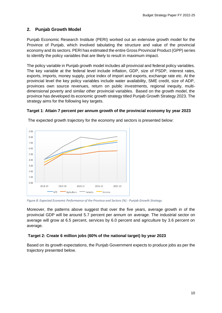# **2. Punjab Growth Model**

Punjab Economic Research Institute (PERI) worked out an extensive growth model for the Province of Punjab, which involved tabulating the structure and value of the provincial economy and its sectors. PERI has estimated the entire Gross Provincial Product (GPP) series to identify the policy variables that are likely to result in maximum impact.

The policy variable in Punjab growth model includes all provincial and federal policy variables. The key variable at the federal level include inflation, GDP, size of PSDP, interest rates, exports, imports, money supply, price index of import and exports, exchange rate etc. At the provincial level the key policy variables include water availability, SME credit, size of ADP, provinces own source revenues, return on public investments, regional inequity, multidimensional poverty and similar other provincial variables. Based on the growth model, the province has developed its economic growth strategy titled Punjab Growth Strategy 2023. The strategy aims for the following key targets.

#### **Target 1**: **Attain 7 percent per annum growth of the provincial economy by year 2023**



The expected growth trajectory for the economy and sectors is presented below:

*Figure 8: Expected Economic Performance of the Province and Sectors (%) - Punjab Growth Strategy*

Moreover, the patterns above suggest that over the five years, average growth in of the provincial GDP will be around 5.7 percent per annum on average. The industrial sector on average will grow at 6.5 percent, services by 6.0 percent and agriculture by 3.6 percent on average.

#### **Target 2: Create 6 million jobs (60% of the national target) by year 2023**

Based on its growth expectations, the Punjab Government expects to produce jobs as per the trajectory presented below.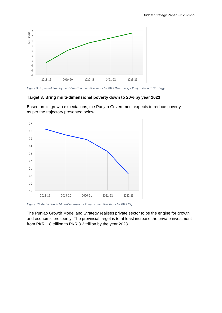

*Figure 9: Expected Employment Creation over Five Years to 2023 (Numbers) - Punjab Growth Strategy*

#### **Target 3: Bring multi-dimensional poverty down to 20% by year 2023**

Based on its growth expectations, the Punjab Government expects to reduce poverty as per the trajectory presented below:



*Figure 10: Reduction in Multi-Dimensional Poverty over Five Years to 2023 (%)*

The Punjab Growth Model and Strategy realises private sector to be the engine for growth and economic prosperity. The provincial target is to at least increase the private investment from PKR 1.8 trillion to PKR 3.2 trillion by the year 2023.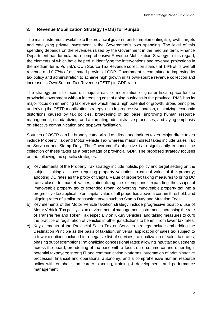# **3. Revenue Mobilization Strategy (RMS) for Punjab**

The main instrument available to the provincial government for implementing its growth targets and catalysing private investment is the Government's own spending. The level of this spending depends on the revenues raised by the Government in the medium term. Finance Department has formulated a comprehensive Revenue Mobilization Strategy in this regard, the elements of which have helped in identifying the interventions and revenue projections in the medium-term. Punjab's Own Source Tax Revenue collection stands at 14% of its overall revenue and 0.77% of estimated provincial GDP. Government is committed to improving its tax policy and administration to achieve high growth in its own-source revenue collection and increase its Own Source Tax Revenue (OSTR) to GDP ratio.

The strategy aims to focus on major areas for mobilization of greater fiscal space for the provincial government without increasing cost of doing business in the province. RMS has its major focus on enhancing tax revenue which has a high potential of growth. Broad principles underlying the OSTR mobilization strategy include progressive taxation, minimizing economic distortions caused by tax policies, broadening of tax base, improving human resource management, standardizing, and automating administrative processes, and laying emphasis on effective communication and taxpayer facilitation.

Sources of OSTR can be broadly categorized as direct and indirect taxes. Major direct taxes include Property Tax and Motor Vehicle Tax whereas major indirect taxes include Sales Tax on Services and Stamp Duty. The Government's objective is to significantly enhance the collection of these taxes as a percentage of provincial GDP. The proposed strategy focuses on the following tax specific strategies:

- a) Key elements of the Property Tax strategy include holistic policy and target setting on the subject; linking all taxes requiring property valuation to capital value of the property; adopting DC rates as the proxy of Capital Value of property; taking measures to bring DC rates closer to market values; rationalizing the exemptions; expanding the scope of immoveable property tax to extended urban; converting immoveable property tax into a progressive tax applicable on capital value of all properties above a certain threshold; and aligning rates of similar transaction taxes such as Stamp Duty and Mutation Fees.
- b) Key elements of the Motor Vehicle taxation strategy include progressive taxation, use of Motor Vehicle Tax policy as an environmental management instrument, increasing the rate of Transfer fee and Token Tax especially on luxury vehicles, and taking measures to curb the practice of registration of vehicles in other jurisdictions to benefit from lower tax rates.
- c) Key elements of the Provincial Sales Tax on Services strategy include embedding the Destination Principle as the basis of taxation, universal application of sales tax subject to a few exceptions included in a negative list of services; rationalization of sales tax rates; phasing out of exemptions; rationalizing concessional rates; allowing input tax adjustments across the board; broadening of tax base with a focus on e-commerce and other highpotential taxpayers; strong IT and communication platforms; automation of administrative processes; financial and operational autonomy; and a comprehensive human resource policy with emphasis on career planning, training & development, and performance management.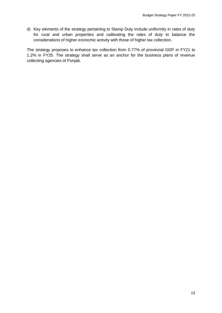d) Key elements of the strategy pertaining to Stamp Duty include uniformity in rates of duty for rural and urban properties and calibrating the rates of duty to balance the considerations of higher economic activity with those of higher tax collection.

The strategy proposes to enhance tax collection from 0.77% of provincial GDP in FY21 to 1.2% in FY25. The strategy shall serve as an anchor for the business plans of revenue collecting agencies of Punjab.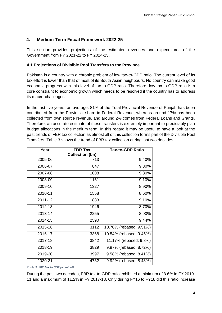# **4. Medium Term Fiscal Framework 2022-25**

This section provides projections of the estimated revenues and expenditures of the Government from FY 2021-22 to FY 2024-25.

## **4.1 Projections of Divisible Pool Transfers to the Province**

Pakistan is a country with a chronic problem of low tax-to-GDP ratio. The current level of its tax effort is lower than that of most of its South Asian neighbours. No country can make good economic progress with this level of tax-to-GDP ratio. Therefore, low-tax-to-GDP ratio is a core constraint to economic growth which needs to be resolved if the country has to address its macro-challenges.

In the last five years, on average, 81% of the Total Provincial Revenue of Punjab has been contributed from the Provincial share in Federal Revenue, whereas around 17% has been collected from own source revenue, and around 2% comes from Federal Loans and Grants. Therefore, an accurate estimate of these transfers is extremely important to predictably plan budget allocations in the medium term. In this regard it may be useful to have a look at the past trends of FBR tax collection as almost all of this collection forms part of the Divisible Pool Transfers. Table 3 shows the trend of FBR tax collection during last two decades.

| <b>FBR Tax</b> | <b>Tax-to-GDP Ratio</b> |
|----------------|-------------------------|
| 713            | 9.40%                   |
| 847            | 9.80%                   |
| 1008           | 9.80%                   |
| 1161           | 9.10%                   |
| 1327           | 8.90%                   |
| 1558           | 8.60%                   |
| 1883           | 9.10%                   |
| 1946           | 8.70%                   |
| 2255           | 8.90%                   |
| 2590           | 9.44%                   |
| 3112           | 10.70% (rebased: 9.51%) |
| 3368           | 10.54% (rebased: 9.45%) |
| 3842           | 11.17% (rebased: 9.8%)  |
| 3829           | 9.97% (rebased: 8.72%)  |
| 3997           | 9.58% (rebased: 8.41%)  |
| 4732           | 9.92% (rebased: 8.48%)  |
|                | <b>Collection (bn)</b>  |

*Table 3: FBR Tax to GDP (Nominal)*

During the past two decades, FBR tax-to-GDP ratio exhibited a minimum of 8.6% in FY 2010- 11 and a maximum of 11.2% in FY 2017-18. Only during FY16 to FY18 did this ratio increase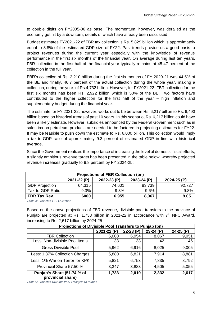to double digits on FY2005-06 as base. The momentum, however, was derailed as the economy got hit by a downturn, details of which have already been discussed.

Budget estimates FY2021-22 of FBR tax collection is Rs. 5,829 billion which is approximately equal to 8.8% of the estimated GDP size of FY22. Past trends provide us a good basis to project revenues during the current year especially with the knowledge of revenue performance in the first six months of the financial year. On average during last ten years, FBR collection in the first half of the financial year typically remains at 45-47 percent of the collection in the full year.

FBR's collection of Rs. 2,210 billion during the first six months of FY 2020-21 was 44.5% of the BE and finally, 46.7 percent of the actual collection during the whole year, making a collection, during the year, of Rs.4,732 billion. However, for FY2021-22, FBR collection for the first six months has been Rs. 2,922 billion which is 50% of the BE. Two factors have contributed to the higher collection for the first half of the year – high inflation and supplementary budget during the financial year.

The estimate for FY 2021-22, however, works out to be between Rs. 6,217 billion to Rs. 6,493 billion based on historical trends of past 10 years. In this scenario, Rs. 6,217 billion could have been a likely estimate. However, subsidies announced by the Federal Government such as in sales tax on petroleum products are needed to be factored in projecting estimates for FY22. It may be feasible to push down the estimate to Rs. 6,000 billion. This collection would imply a tax-to-GDP ratio of approximately 9.3 percent of estimated GDP in line with historical average.

Since the Government realizes the importance of increasing the level of domestic fiscal efforts, a slightly ambitious revenue target has been presented in the table below, whereby projected revenue increases gradually to 9.8 percent by FY 2024-25:

| <b>Projections of FBR Collection (bn)</b>                |        |        |        |        |  |  |  |  |
|----------------------------------------------------------|--------|--------|--------|--------|--|--|--|--|
| 2022-23 (P)<br>2023-24 (P)<br>2024-25 (P)<br>2021-22 (P) |        |        |        |        |  |  |  |  |
| <b>GDP Projection</b>                                    | 64,315 | 74,601 | 83,739 | 92,727 |  |  |  |  |
| Tax-to-GDP Ratio                                         | 9.3%   | 9.3%   | 9.6%   | 9.8%   |  |  |  |  |
| FBR Tax Rev.                                             | 6000   | 6,955  | 8,067  | 9,051  |  |  |  |  |

*Table 4: Projected FBR Collection*

Based on the above projections of FBR revenue, divisible pool transfers to the province of Punjab are projected at Rs. 1,733 billion in 2021-22 in accordance with  $7<sup>th</sup>$  NFC Award, increasing to Rs. 2,617 billion by 2024-25:

| Projections of Divisible Pool Transfers to Punjab (bn) |             |            |            |           |  |  |  |
|--------------------------------------------------------|-------------|------------|------------|-----------|--|--|--|
|                                                        | 2021-22 (P) | $22-23(P)$ | $23-24(P)$ | 24-25 (P) |  |  |  |
| <b>FBR Collection</b>                                  | 6,000       | 6,954      | 8,067      | 9,051     |  |  |  |
| Less: Non-divisible Pool Items                         | 38          | 38         | 42         | 46        |  |  |  |
| <b>Gross Divisible Pool</b>                            | 5,962       | 6,916      | 8,025      | 9,005     |  |  |  |
| Less: 1.37% Collection Charges                         | 5,880       | 6,821      | 7,914      | 8,881     |  |  |  |
| Less: 1% War on Terror for KPK                         | 5,821       | 6,753      | 7,835      | 8,792     |  |  |  |
| Provincial Share 57.50 %                               | 3,347       | 3,883      | 4,505      | 5,055     |  |  |  |
| Punjab's Share (51.74 % of<br>provincial share)        | 1,733       | 2,010      | 2,332      | 2,617     |  |  |  |

*Table 5: Projected Divisible Pool Transfers to Punjab*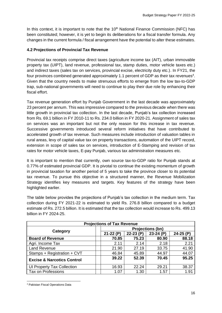In this context, it is important to note that the  $10<sup>th</sup>$  National Finance Commission (NFC) has been constituted; however, it is yet to begin its deliberations for a fiscal transfer formula. Any changes in the current formula / fiscal arrangement have the potential to alter these estimates.

## **4.2 Projections of Provincial Tax Revenue**

Provincial tax receipts comprise direct taxes (agriculture income tax (AIT), urban immovable property tax (UIPT), land revenue, professional tax, stamp duties, motor vehicle taxes etc.) and indirect taxes (sales tax on services, provincial excise, electricity duty etc.). In FY21, the four provinces combined generated approximately 1.1 percent of GDP as their tax revenues<sup>4</sup>. Given that the country needs to make strenuous efforts to emerge from the low tax-to-GDP trap, sub-national governments will need to continue to play their due role by enhancing their fiscal effort.

Tax revenue generation effort by Punjab Government in the last decade was approximately 23 percent per annum. This was impressive compared to the previous decade when there was little growth in provincial tax collection. In the last decade, Punjab's tax collection increased from Rs. 69.1 billion in FY 2010-11 to Rs. 234.0 billion in FY 2020-21. Assignment of sales tax on services was an important but not the only reason for this increase in tax revenue. Successive governments introduced several reform initiatives that have contributed to accelerated growth of tax revenue. Such measures include introduction of valuation tables in rural areas, levy of capital value tax on property transactions, automation of the UIPT record, extension in scope of sales tax on services, introduction of E-Stamping and revision of tax rates for motor vehicle taxes, E-pay Punjab, various tax administration measures etc.

It is important to mention that currently, own source tax-to-GDP ratio for Punjab stands at 0.77% of estimated provincial GDP. It is pivotal to continue the existing momentum of growth in provincial taxation for another period of 5 years to take the province closer to its potential tax revenue. To pursue this objective in a structured manner, the Revenue Mobilization Strategy identifies key measures and targets. Key features of the strategy have been highlighted earlier.

The table below provides the projections of Punjab's tax collection in the medium term. Tax collection during FY 2021-22 is estimated to yield Rs. 276.8 billion compared to a budget estimate of Rs. 272.5 billion. It is estimated that the tax collection would increase to Rs. 499.13 billion in FY 2024-25.

| <b>Projections of Tax Revenue</b>     |                         |              |            |            |  |  |
|---------------------------------------|-------------------------|--------------|------------|------------|--|--|
|                                       | <b>Projections (bn)</b> |              |            |            |  |  |
| Category                              | $21-22(P)$              | $22 - 23(P)$ | $23-24(P)$ | $24-25(P)$ |  |  |
| <b>Board of Revenue</b>               | 70.85                   | 75.23        | 80.90      | 88.18      |  |  |
| Agri. Income Tax                      | 2.11                    | 2.14         | 2.18       | 2.21       |  |  |
| <b>Land Revenue</b>                   | 21.90                   | 27.19        | 33.75      | 41.90      |  |  |
| Stamps + Registration + CVT           | 46.84                   | 45.89        | 44.97      | 44.07      |  |  |
| <b>Excise &amp; Narcotics Control</b> | 39.22                   | 52.39        | 70.45      | 95.25      |  |  |
| <b>UI Property Tax Collection</b>     | 16.93                   | 22.24        | 29.21      | 38.37      |  |  |
| <b>Tax on Professions</b>             | 1.07                    | 1.30         | 1.57       | 1.91       |  |  |

<sup>4</sup> Pakistan Fiscal Operations Data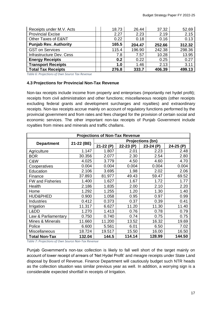| Receipts under M.V. Acts     | 18.73 | 26.44  | 37.32  | 52.69  |
|------------------------------|-------|--------|--------|--------|
| <b>Provincial Excise</b>     | 2.27  | 2.23   | 2.19   | 2.15   |
| Other Taxes of E&NT          | 0.22  | 0.18   | 0.16   | 0.13   |
| <b>Punjab Rev. Authority</b> | 165.5 | 204.47 | 252.66 | 312.32 |
| <b>GST on Services</b>       | 115.4 | 196.90 | 242.38 | 298.36 |
| Infrastructure Dev. Cess     | 7.8   | 7.57   | 10.28  | 13.95  |
| <b>Energy Receipts</b>       | 0.2   | 0.22   | 0.25   | 0.27   |
| <b>Transport Receipts</b>    | 1.0   | 1.46   | 2.13   | 3.11   |
| <b>Total Tax Receipts</b>    | 276.8 | 333.7  | 406.39 | 499.13 |

*Table 6: Projections of Own Source Tax Revenue*

#### **4.3 Projections for Provincial Non-Tax Revenue**

Non-tax receipts include income from property and enterprises (importantly net hydel profit); receipts from civil administration and other functions; miscellaneous receipts (other receipts excluding federal grants and development surcharges and royalties) and extraordinary receipts. Non-tax receipts accrue mainly on account of regulatory functions performed by the provincial government and from rates and fees charged for the provision of certain social and economic services. The other important non-tax receipts of Punjab Government include royalties from mines and minerals and traffic challans.

| <b>Projections of Non-Tax Revenue</b> |            |                         |            |            |           |  |  |
|---------------------------------------|------------|-------------------------|------------|------------|-----------|--|--|
|                                       |            | <b>Projections (bn)</b> |            |            |           |  |  |
| <b>Department</b>                     | 21-22 (BE) | $21-22(P)$              | $22-23(P)$ | $23-24(P)$ | 24-25 (P) |  |  |
| Agriculture                           | 1.147      | 1.807                   | 2.01       | 2.23       | 2.48      |  |  |
| <b>BOR</b>                            | 30.356     | 2.077                   | 2.30       | 2.54       | 2.80      |  |  |
| C&W                                   | 4.025      | 3.779                   | 4.50       | 4.60       | 4.70      |  |  |
| Cooperatives                          | 0.004      | 0.004                   | 0.004      | 0.004      | 0.004     |  |  |
| Education                             | 2.106      | 3.695                   | 1.98       | 2.02       | 2.06      |  |  |
| Finance                               | 37.893     | 81.977                  | 49.43      | 59.47      | 69.52     |  |  |
| <b>FW and Fisheries</b>               | 1.400      | 1.627                   | 1.67       | 1.72       | 1.77      |  |  |
| Health                                | 2.186      | 1.835                   | 2.00       | 2.10       | 2.20      |  |  |
| Home                                  | 1.292      | 1.255                   | 1.20       | 1.30       | 1.40      |  |  |
| HUD&PHED                              | 0.900      | 1.058                   | 0.95       | 0.97       | 0.99      |  |  |
| <b>Industries</b>                     | 0.412      | 0.373                   | 0.37       | 0.39       | 0.41      |  |  |
| Irrigation                            | 11.317     | 6.627                   | 11.20      | 11.30      | 11.40     |  |  |
| Lⅅ                                    | 1.270      | 1.413                   | 0.76       | 0.78       | 0.79      |  |  |
| Law & Parliamentary                   | 0.750      | 0.740                   | 0.74       | 0.75       | 0.75      |  |  |
| Mines & Minerals                      | 11.660     | 11.200                  | 13.52      | 16.32      | 19.69     |  |  |
| Police                                | 6.600      | 5.561                   | 6.01       | 6.50       | 7.02      |  |  |
| Miscellaneous                         | 18.724     | 19.517                  | 15.50      | 16.00      | 16.50     |  |  |
| <b>Total Non-Tax</b>                  | 132.04     | 144.5                   | 114.14     | 128.99     | 144.50    |  |  |

*Table 7: Projections of Own Source Non-Tax Revenue*

Punjab Government's non-tax collection is likely to fall well short of the target mainly on account of lower receipt of arrears of 'Net Hydel Profit' and meagre receipts under State Land disposal by Board of Revenue. Finance Department will cautiously budget such NTR heads as the collection situation was similar previous year as well. In addition, a worrying sign is a considerable expected shortfall in receipts of Irrigation.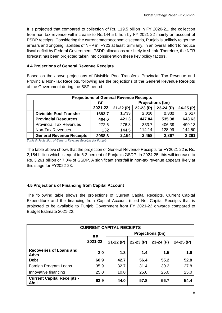It is projected that compared to collection of Rs. 119.5 billion in FY 2020-21, the collection from non-tax revenue will increase to Rs.144.5 billion by FY 2021-22 mainly on account of PSDP receipts. Considering the current macroeconomic scenario, Punjab is unlikely to get the arrears and ongoing liabilities of NHP in FY23 at least. Similarly, in an overall effort to reduce fiscal deficit by Federal Government, PSDP allocations are likely to shrink. Therefore, the NTR forecast has been projected taken into consideration these key policy factors.

## **4.4 Projections of General Revenue Receipts**

Based on the above projections of Divisible Pool Transfers, Provincial Tax Revenue and Provincial Non-Tax Receipts, following are the projections of the General Revenue Receipts of the Government during the BSP period:

| <b>Projections of General Revenue Receipts</b> |         |                                                     |        |        |        |  |
|------------------------------------------------|---------|-----------------------------------------------------|--------|--------|--------|--|
|                                                | BE      | Projections (bn)                                    |        |        |        |  |
|                                                | 2021-22 | $22-23(P)$<br>$21-22(P)$<br>$23-24(P)$<br>24-25 (P) |        |        |        |  |
| <b>Divisible Pool Transfer</b>                 | 1683.7  | 1,733                                               | 2,010  | 2,332  | 2,617  |  |
| <b>Provincial Resources</b>                    | 404.6   | 421.3                                               | 447.84 | 535.38 | 643.63 |  |
| <b>Provincial Tax Revenues</b>                 | 272.6   | 276.8                                               | 333.7  | 406.39 | 499.13 |  |
| Non-Tax Revenues                               | 132     | 144.5                                               | 114.14 | 128.99 | 144.50 |  |
| <b>General Revenue Receipts</b>                | 2088.3  | 2,154                                               | 2,458  | 2,867  | 3,261  |  |

*Table 8: Projection of General Revenue Receipts for Punjab*

The table above shows that the projection of General Revenue Receipts for FY2021-22 is Rs. 2,154 billion which is equal to 6.2 percent of Punjab's GSDP. In 2024-25, this will increase to Rs. 3,261 billion or 7.0% of GSDP. A significant shortfall in non-tax revenue appears likely at this stage for FY2022-23.

## **4.5 Projections of Financing from Capital Account**

The following table shows the projections of Current Capital Receipts, Current Capital Expenditure and the financing from Capital Account (titled Net Capital Receipts that is projected to be available to Punjab Government from FY 2021-22 onwards compared to Budget Estimate 2021-22.

| <b>CURRENT CAPITAL RECEIPTS</b>            |               |            |            |                         |           |  |
|--------------------------------------------|---------------|------------|------------|-------------------------|-----------|--|
|                                            |               |            |            | <b>Projections (bn)</b> |           |  |
|                                            | BE<br>2021-22 | $21-22(P)$ | $22-23(P)$ | $23-24(P)$              | 24-25 (P) |  |
| <b>Recoveries of Loans and</b><br>Advs.    | 3.0           | 1.3        | 1.4        | 1.5                     | 1.6       |  |
| <b>Debt</b>                                | 60.9          | 42.7       | 56.4       | 55.2                    | 52.8      |  |
| Foreign Program Loans                      | 35.9          | 32.7       | 31.4       | 30.2                    | 27.8      |  |
| Innovative financing                       | 25.0          | 10.0       | 25.0       | 25.0                    | 25.0      |  |
| <b>Current Capital Receipts -</b><br>$A/c$ | 63.9          | 44.0       | 57.8       | 56.7                    | 54.4      |  |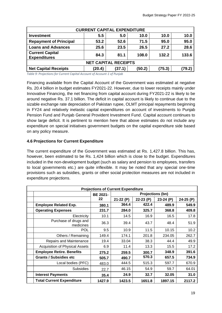| <b>CURRENT CAPITAL EXPENDITURE</b>            |        |        |        |        |        |  |
|-----------------------------------------------|--------|--------|--------|--------|--------|--|
| <b>Investment</b>                             | 5.5    | 5.0    | 10.0   | 10.0   | 10.0   |  |
| <b>Repayment of Principal</b>                 | 53.2   | 52.6   | 71.5   | 95.0   | 95.0   |  |
| <b>Loans and Advances</b>                     | 25.6   | 23.5   | 26.5   | 27.2   | 28.6   |  |
| <b>Current Capital</b><br><b>Expenditures</b> | 84.3   | 81.1   | 108.0  | 132.2  | 133.6  |  |
| <b>NET CAPITAL RECEIPTS</b>                   |        |        |        |        |        |  |
| <b>Net Capital Receipts</b>                   | (20.4) | (37.1) | (50.2) | (75.3) | (79.2) |  |

*Table 9: Projections for Current Capital Account of Account-1 of Punjab*

Financing available from the Capital Account of the Government was estimated at negative Rs. 20.4 billion in budget estimates FY2021-22. However, due to lower receipts mainly under Innovative Financing, the net financing from capital account during FY2021-22 is likely to be around negative Rs. 37.1 billion. The deficit in capital account is likely to continue due to the sizable exchange rate depreciation of Pakistan rupee, OLMT principal repayments beginning in FY24 and relatively inelastic capital expenditures on account of investments to Punjab Pension Fund and Punjab General Provident Investment Fund. Capital account continues to show large deficit. It is pertinent to mention here that above estimates do not include any expenditure on special initiatives government budgets on the capital expenditure side based on any policy measure.

#### **4.6 Projections for Current Expenditure**

The current expenditure of the Government was estimated at Rs. 1,427.8 billion. This has, however, been estimated to be Rs. 1,424 billion which is close to the budget. Expenditures included in the non-development budget (such as salary and pension to employees, transfers to local governments etc.) are quite inflexible. It may be noted that any special one-time provisions such as subsidies, grants or other social protection measures are not included in expenditure projections.

| <b>Projections of Current Expenditure</b> |                                       |                 |                         |           |            |           |
|-------------------------------------------|---------------------------------------|-----------------|-------------------------|-----------|------------|-----------|
|                                           |                                       | <b>BE 2021-</b> | <b>Projections (bn)</b> |           |            |           |
|                                           |                                       | 22              | $21-22(P)$              | 22-23 (P) | $23-24(P)$ | 24-25 (P) |
|                                           | <b>Employee Related Exp.</b>          | 380.1           | 364.4                   | 422.4     | 489.9      | 549.9     |
|                                           | <b>Operating Expenses</b>             | 231.7           | 284.0                   | 325.7     | 368.8      | 409.8     |
|                                           | Electricity                           | 10.1            | 14.5                    | 16.9      | 16.5       | 17.8      |
|                                           | Purchase of drugs and<br>medicines    | 36.3            | 39.4                    | 43.7      | 48.4       | 51.9      |
|                                           | POL                                   | 9.5             | 10.9                    | 11.5      | 10.15      | 10.2      |
|                                           | Others / Remaining                    | 149.4           | 174.1                   | 201.8     | 234.05     | 262.7     |
|                                           | Repairs and Maintenance               | 19.4            | 33.04                   | 38.3      | 44.4       | 49.9      |
|                                           | <b>Acquisition of Physical Assets</b> | 6.9             | 11.4                    | 13.3      | 15.5       | 17.2      |
|                                           | <b>Employee Retire. Benefits</b>      | 275.2           | 259.5                   | 300.7     | 348.9      | 391.6     |
|                                           | <b>Grants / Subsidies etc</b>         | 505.7           | 490.7                   | 570.3     | 657.5      | 734.9     |
|                                           | Local bodies (PFC)                    | 483.0           | 444.5                   | 515.3     | 597.7      | 670.9     |
|                                           | <b>Subsidies</b>                      | 22.7            | 46.15                   | 54.9      | 59.7       | 64.01     |
|                                           | <b>Interest Payments</b>              | 35.4            | 24.9                    | 32.7      | 32.05      | 31.0      |
|                                           | <b>Total Current Expenditure</b>      | 1427.9          | 1423.5                  | 1651.8    | 1897.15    | 2117.2    |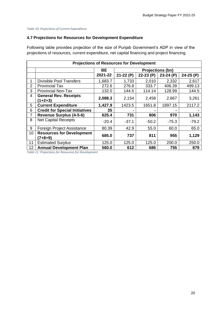#### *Table 10: Projections of Current Expenditure*

#### **4.7 Projections for Resources for Development Expenditure**

Following table provides projection of the size of Punjab Government's ADP in view of the projections of resources, current expenditure, net capital financing and project financing.

| <b>Projections of Resources for Development</b> |                                             |           |                         |            |            |            |
|-------------------------------------------------|---------------------------------------------|-----------|-------------------------|------------|------------|------------|
|                                                 |                                             | <b>BE</b> | <b>Projections (bn)</b> |            |            |            |
|                                                 |                                             | 2021-22   | $21-22(P)$              | $22-23(P)$ | $23-24(P)$ | $24-25(P)$ |
|                                                 | <b>Divisible Pool Transfers</b>             | 1,683.7   | 1,733                   | 2,010      | 2,332      | 2,617      |
| 2                                               | <b>Provincial Tax</b>                       | 272.6     | 276.8                   | 333.7      | 406.39     | 499.13     |
| 3                                               | <b>Provincial Non-Tax</b>                   | 132.0     | 144.5                   | 114.14     | 128.99     | 144.5      |
| 4                                               | <b>General Rev. Receipts</b><br>(1+2+3)     | 2,088.3   | 2,154                   | 2,458      | 2,867      | 3,261      |
| 5                                               | <b>Current Expenditure</b>                  | 1,427.9   | 1423.5                  | 1651.8     | 1897.15    | 2117.2     |
| 6                                               | <b>Credit for Special Initiatives</b>       | 35        |                         |            |            |            |
| 7                                               | <b>Revenue Surplus (4-5-6)</b>              | 625.4     | 731                     | 806        | 970        | 1,143      |
| 8                                               | <b>Net Capital Receipts</b>                 | $-20.4$   | $-37.1$                 | $-50.2$    | $-75.3$    | $-79.2$    |
| 9                                               | Foreign Project Assistance                  | 80.39     | 42.9                    | 55.0       | 60.0       | 65.0       |
| 10                                              | <b>Resources for Development</b><br>(7+8+9) | 685.0     | 737                     | 811        | 955        | 1,129      |
| 11                                              | <b>Estimated Surplus</b>                    | 125.0     | 125.0                   | 125.0      | 200.0      | 250.0      |
| 12                                              | <b>Annual Development Plan</b>              | 560.0     | 612                     | 686        | 755        | 879        |

*Table 11: Projections for Resources for Development*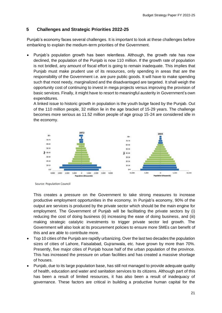# **5 Challenges and Strategic Priorities 2022-25**

Punjab's economy faces several challenges. It is important to look at these challenges before embarking to explain the medium-term priorities of the Government.

• Punjab's population growth has been relentless. Although, the growth rate has now declined, the population of the Punjab is now 110 million. If the growth rate of population is not bridled, any amount of fiscal effort is going to remain inadequate. This implies that Punjab must make prudent use of its resources, only spending in areas that are the responsibility of the Government i.e. are pure public goods. It will have to make spending such that most needy, marginalized and the disadvantaged are targeted. It shall weigh the opportunity cost of continuing to invest in mega projects versus improving the provision of basic services. Finally, it might have to resort to meaningful austerity in Government's own expenditures.

A linked issue to historic growth in population is the youth bulge faced by the Punjab. Out of the 110 million people, 32 million lie in the age bracket of 15-29 years. The challenge becomes more serious as 11.52 million people of age group 15-24 are considered idle in the economy.



Source: Population Council

This creates a pressure on the Government to take strong measures to increase productive employment opportunities in the economy. In Punjab's economy, 90% of the output are services is produced by the private sector which should be the main engine for employment. The Government of Punjab will be facilitating the private sectors by (i) reducing the cost of doing business (ii) increasing the ease of doing business, and (iii) making strategic catalytic investments to trigger private sector led growth. The Government will also look at its procurement policies to ensure more SMEs can benefit of this and are able to contribute more.

- Top 10 cities of the Punjab are rapidly urbanizing. Over the last two decades the population sizes of cities of Lahore, Faisalabad, Gujranwala, etc. have grown by more than 70%. Presently, five major cities of Punjab house half of the urban population of the province. This has increased the pressure on urban facilities and has created a massive shortage of houses.
- Punjab, due to its large population base, has still not managed to provide adequate quality of health, education and water and sanitation services to its citizens. Although part of this has been a result of limited resources, it has also been a result of inadequacy of governance. These factors are critical in building a productive human capital for the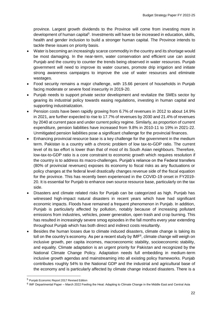province. Largest growth dividends to the Province will come from investing more in development of human capital<sup>5</sup>. Investments will have to be increased in education, skills, health and gender inclusion to build a stronger human capital. The Province intends to tackle these issues on priority basis.

- Water is becoming an increasingly scarce commodity in the country and its shortage would be most damaging. In the near-term, water conservation and efficient use can assist Punjab and the country to counter the trends being observed in water resources. Punjab government will need to improve its water courses, promote drip irrigation and initiate strong awareness campaigns to improve the use of water resources and eliminate wastages.
- Food security remains a major challenge, with 15.66 percent of households in Punjab facing moderate or severe food insecurity in 2019-20.
- Punjab needs to support private sector development and revitalize the SMEs sector by gearing its industrial policy towards easing regulations, investing in human capital and supporting industrialization.
- Pension costs have been rapidly growing from 6.7% of revenues in 2012 to about 14.9% in 2021, are further expected to rise to 17.7% of revenues by 2030 and 21.4% of revenues by 2040 at current pace and under current policy regime. Similarly, as proportion of current expenditure, pension liabilities have increased from 9.8% in 2010-11 to 19% in 2021-22. Unmitigated pension liabilities pose a significant challenge for the provincial finances.
- Enhancing provincial resource base is a key challenge for the government in the medium term. Pakistan is a country with a chronic problem of low tax-to-GDP ratio. The current level of its tax effort is lower than that of most of its South Asian neighbours. Therefore, low-tax-to-GDP ratio is a core constraint to economic growth which requires resolution if the country is to address its macro-challenges. Punjab's reliance on the Federal transfers (80% of provincial revenues) exposes its economy to fiscal risks as any fluctuations or policy changes at the federal level drastically changes revenue side of the fiscal equation for the province. This has recently been experienced in the COVID-19 onset in FY2019- 20. It is essential for Punjab to enhance own source resource base, particularly on the tax side.
- Disasters and climate related risks for Punjab can be categorized as high. Punjab has witnessed high-impact natural disasters in recent years which have had significant economic impacts. Floods have remained a frequent phenomenon in Punjab. In addition, Punjab is particularly affected by pollution, notably because of increasing pollutant emissions from industries, vehicles, power generation, open trash and crop burning. This has resulted in increasingly severe smog episodes in the fall months every year extending throughout Punjab which has both direct and indirect costs resultantly.
- Besides the human losses due to climate induced disasters, climate change is taking its toll on the country's economy. As per a recent study by IMF $<sup>6</sup>$ , climate change will weigh on</sup> inclusive growth, per capita incomes, macroeconomic stability, socioeconomic stability, and equality. Climate adaptation is an urgent priority for Pakistan and recognized by the National Climate Change Policy. Adaptation needs full embedding in medium-term inclusive growth agendas and mainstreaming into all existing policy frameworks. Punjab contributes roughly 54% to the National GDP and the industrial and agricultural base of the economy and is particularly affected by climate change induced disasters. There is a

<sup>5</sup> Punjab Economic Report 2017 Revised Edition

<sup>&</sup>lt;sup>6</sup> IMF Departmental Paper – March 2022 Feeling the Heat: Adapting to Climate Change in the Middle East and Central Asia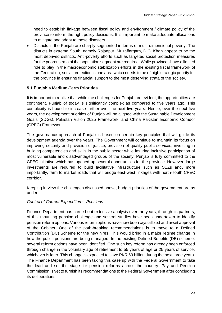need to establish linkage between fiscal policy and environment / climate policy of the province to inform the right policy decisions. It is important to make adequate allocations to mitigate and adapt to these disasters.

• Districts in the Punjab are sharply segmented in terms of multi-dimensional poverty. The districts in extreme South, namely Rajanpur, Muzaffargarh, D.G. Khan appear to be the most deprived districts. Anti-poverty efforts such as targeted social protection measures for the poorer strata of the population segment are required. While provinces have a limited role to play in the macroeconomic stabilization efforts in the existing fiscal framework of the Federation, social protection is one area which needs to be of high strategic priority for the province in ensuring financial support to the most deserving strata of the society.

## **5.1 Punjab's Medium-Term Priorities**

It is important to realize that while the challenges for Punjab are evident, the opportunities are contingent. Punjab of today is significantly complex as compared to five years ago. This complexity is bound to increase further over the next five years. Hence, over the next five years, the development priorities of Punjab will be aligned with the Sustainable Development Goals (SDGs), Pakistan Vision 2025 Framework, and China Pakistan Economic Corridor (CPEC) Framework.

The governance approach of Punjab is based on certain key principles that will guide its development agenda over the years. The Government will continue to maintain its focus on improving security and provision of justice, provision of quality public services, investing in building competencies and skills in the public sector while insuring inclusive participation of most vulnerable and disadvantaged groups of the society. Punjab is fully committed to the CPEC initiative which has opened-up several opportunities for the province. However, large investments are required to build facilitative infrastructure such as SEZs and, more importantly, farm to market roads that will bridge east-west linkages with north-south CPEC corridor.

Keeping in view the challenges discussed above, budget priorities of the government are as under:

#### *Control of Current Expenditure - Pensions*

Finance Department has carried out extensive analysis over the years, through its partners, of this mounting pension challenge and several studies have been undertaken to identify pension reform options. Various reform options have now been crystallized and await approval of the Cabinet. One of the path-breaking recommendations is to move to a Defined Contribution (DC) Scheme for the new hires. This would bring in a major regime change in how the public pensions are being managed. In the existing Defined Benefits (DB) scheme, several reform options have been identified. One such key reform has already been enforced through change in the voluntary age of retirement to 55 years of age or 25 years of service, whichever is later. This change is expected to save PKR 59 billion during the next three years. The Finance Department has been taking this case up with the Federal Government to take the lead and set the stage for pension reforms across the country. Pay and Pension Commission is yet to furnish its recommendations to the Federal Government after concluding its deliberations.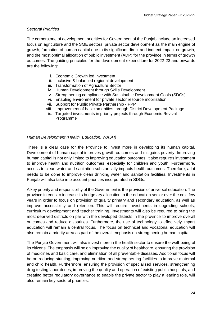#### *Sectoral Priorities*

The cornerstone of development priorities for Government of the Punjab include an increased focus on agriculture and the SME sectors, private sector development as the main engine of growth, formation of human capital due to its significant direct and indirect impact on growth, and the most optimal allocation of public investment (ADP) for the province in terms of growth outcomes. The guiding principles for the development expenditure for 2022-23 and onwards are the following:

- i. Economic Growth led investment
- ii. Inclusive & balanced regional development
- iii. Transformation of Agriculture Sector
- iv. Human Development through Skills Development
- v. Strengthening compliance with Sustainable Development Goals (SDGs)
- vi. Enabling environment for private sector resource mobilization
- vii. Support for Public Private Partnership PPP
- viii. Improvement of basic amenities through District Development Package
- ix. Targeted investments in priority projects through Economic Revival Programme

#### *Human Development (Health, Education, WASH)*

There is a clear case for the Province to invest more in developing its human capital. Development of human capital improves growth outcomes and mitigates poverty. Improving human capital is not only limited to improving education outcomes; it also requires investment to improve health and nutrition outcomes, especially for children and youth. Furthermore, access to clean water and sanitation substantially impacts health outcomes. Therefore, a lot needs to be done to improve clean drinking water and sanitation facilities. Investments in Punjab will also take into account priorities incorporated in SDGs.

A key priority and responsibility of the Government is the provision of universal education. The province intends to increase its budgetary allocation to the education sector over the next few years in order to focus on provision of quality primary and secondary education, as well as improve accessibility and retention. This will require investments in upgrading schools, curriculum development and teacher training. Investments will also be required to bring the most deprived districts on par with the developed districts in the province to improve overall outcomes and reduce disparities. Furthermore, the use of technology to effectively impart education will remain a central focus. The focus on technical and vocational education will also remain a priority area as part of the overall emphasis on strengthening human capital.

The Punjab Government will also invest more in the health sector to ensure the well-being of its citizens. The emphasis will be on improving the quality of healthcare, ensuring the provision of medicines and basic care, and elimination of all preventable diseases. Additional focus will be on reducing stunting, improving nutrition and strengthening facilities to improve maternal and child health. Furthermore, ensuring the provision of specialised services, strengthening drug testing laboratories, improving the quality and operation of existing public hospitals, and creating better regulatory governance to enable the private sector to play a leading role, will also remain key sectoral priorities.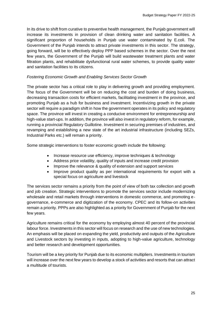In its drive to shift from curative to preventive health management, the Punjab government will increase its investments in provision of clean drinking water and sanitation facilities. A significant proportion of households in Punjab use water contaminated by E.coli. The Government of the Punjab intends to attract private investments in this sector. The strategy, going forward, will be to effectively deploy PPP based schemes in the sector. Over the next few years, the Government of the Punjab will build wastewater treatment plants and water filtration plants, and rehabilitate dysfunctional rural water schemes, to provide quality water and sanitation facilities to its citizens.

#### *Fostering Economic Growth and Enabling Services Sector Growth*

The private sector has a critical role to play in delivering growth and providing employment. The focus of the Government will be on reducing the cost and burden of doing business, decreasing transaction costs for efficient markets, facilitating investment in the province, and promoting Punjab as a hub for business and investment. Incentivizing growth in the private sector will require a paradigm shift in how the government operates in its policy and regulatory space. The province will invest in creating a conducive environment for entrepreneurship and high-value start-ups. In addition, the province will also invest in regulatory reform, for example, running a provincial Regulatory Guillotine. Investment in securing premises of industries, and revamping and establishing a new state of the art industrial infrastructure (including SEZs, Industrial Parks etc.) will remain a priority.

Some strategic interventions to foster economic growth include the following:

- Increase resource use efficiency, improve techniques & technology
- Address price volatility, quality of inputs and increase credit provision
- Improve the relevance & quality of extension and support services
- Improve product quality as per international requirements for export with a special focus on agriculture and livestock

The services sector remains a priority from the point of view of both tax collection and growth and job creation. Strategic interventions to promote the services sector include modernizing wholesale and retail markets through interventions in domestic commerce, and promoting egovernance, e-commerce and digitization of the economy. CPEC and its follow-on activities remain a priority. PPPs are also highlighted as a priority for Government of Punjab for the next few years.

Agriculture remains critical for the economy by employing almost 40 percent of the provincial labour force. Investments in this sector will focus on research and the use of new technologies. An emphasis will be placed on expanding the yield, productivity and outputs of the Agriculture and Livestock sectors by investing in inputs, adopting to high-value agriculture, technology and better research and development opportunities.

Tourism will be a key priority for Punjab due to its economic multipliers. Investments in tourism will increase over the next few years to develop a stock of activities and resorts that can attract a multitude of tourists.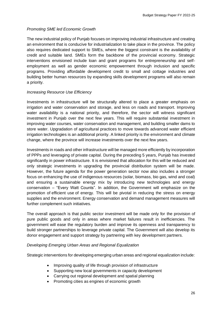#### *Promoting SME led Economic Growth*

The new industrial policy of Punjab focuses on improving industrial infrastructure and creating an environment that is conducive for industrialization to take place in the province. The policy also requires dedicated support to SMEs, where the biggest constraint is the availability of credit and suitable land. SMEs form the backbone of the provincial economy. Strategic interventions envisioned include loan and grant programs for entrepreneurship and selfemployment as well as gender economic empowerment through inclusion and specific programs. Providing affordable development credit to small and cottage industries and building better human resources by expanding skills development programs will also remain a priority.

#### *Increasing Resource Use Efficiency*

Investments in infrastructure will be structurally altered to place a greater emphasis on irrigation and water conservation and storage, and less on roads and transport. Improving water availability is a national priority, and therefore, the sector will witness significant investment in Punjab over the next few years. This will require substantial investment in improving water courses, water conservation and management, and building smaller dams to store water. Upgradation of agricultural practices to move towards advanced water efficient irrigation technologies is an additional priority. A linked priority is the environment and climate change, where the province will increase investments over the next few years.

Investments in roads and other infrastructure will be managed more efficiently by incorporation of PPPs and leveraging of private capital. During the preceding 5 years, Punjab has invested significantly in power infrastructure. It is envisioned that allocation for this will be reduced and only strategic investments in upgrading the provincial distribution system will be made. However, the future agenda for the power generation sector now also includes a stronger focus on enhancing the use of indigenous resources (solar, biomass, bio gas, wind and coal) and ensuring a sustainable energy mix by introducing new technologies and energy conservation – "Every Watt Counts". In addition, the Government will emphasize on the promotion of efficient use of energy. This will be pivotal in reducing the stress on energy supplies and the environment. Energy conservation and demand management measures will further complement such initiatives.

The overall approach is that public sector investment will be made only for the provision of pure public goods and only in areas where market failures result in inefficiencies. The government will ease the regulatory burden and improve its openness and transparency to build stronger partnerships to leverage private capital. The Government will also develop its donor engagement and support strategy by partnering with key development partners.

#### *Developing Emerging Urban Areas and Regional Equalization*

Strategic interventions for developing emerging urban areas and regional equalization include:

- Improving quality of life through provision of infrastructure
- Supporting new local governments in capacity development
- Carrying out regional development and spatial planning
- Promoting cities as engines of economic growth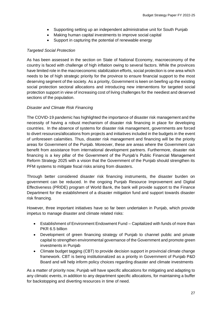- Supporting setting up an independent administrative unit for South Punjab
- Making human capital investments to improve social capital
- Support in capturing the potential of renewable energy

## *Targeted Social Protection*

As has been assessed in the section on State of National Economy, macroeconomy of the country is faced with challenge of high inflation owing to several factors. While the provinces have limited role in the macroeconomic stabilization efforts, social protection is one area which needs to be of high strategic priority for the province to ensure financial support to the most deserving segment of the society. As a priority, Government is keen on beefing up the existing social protection sectoral allocations and introducing new interventions for targeted social protection support in view of increasing cost of living challenges for the neediest and deserved sections of the population.

## *Disaster and Climate Risk Financing*

The COVID-19 pandemic has highlighted the importance of disaster risk management and the necessity of having a robust mechanism of disaster risk financing in place for developing countries. In the absence of systems for disaster risk management, governments are forced to divert resources/allocations from projects and initiatives included in the budgets in the event of unforeseen calamities. Thus, disaster risk management and financing will be the priority areas for Government of the Punjab. Moreover, these are areas where the Government can benefit from assistance from international development partners. Furthermore, disaster risk financing is a key pillar of the Government of the Punjab's Public Financial Management Reform Strategy 2025 with a vision that the Government of the Punjab should strengthen its PFM systems to mitigate fiscal risks arising from disasters.

Through better considered disaster risk financing instruments, the disaster burden on government can be reduced. In the ongoing Punjab Resource Improvement and Digital Effectiveness (PRIDE) program of World Bank, the bank will provide support to the Finance Department for the establishment of a disaster mitigation fund and support towards disaster risk financing.

However, three important initiatives have so far been undertaken in Punjab, which provide impetus to manage disaster and climate related risks:

- Establishment of Environment Endowment Fund Capitalized with funds of more than PKR 6.5 billion
- Development of green financing strategy of Punjab to channel public and private capital to strengthen environmental governance of the Government and promote green investments in Punjab
- Climate budget tagging (CBT) to provide decision support in provincial climate change framework. CBT is being institutionalized as a priority in Government of Punjab P&D Board and will help inform policy choices regarding disaster and climate investments

As a matter of priority now, Punjab will have specific allocations for mitigating and adapting to any climatic events, in addition to any department specific allocations, for maintaining a buffer for backstopping and diverting resources in time of need.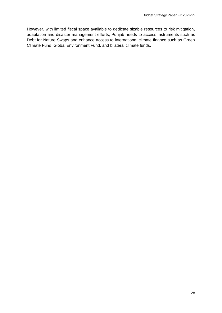However, with limited fiscal space available to dedicate sizable resources to risk mitigation, adaptation and disaster management efforts, Punjab needs to access instruments such as Debt for Nature Swaps and enhance access to international climate finance such as Green Climate Fund, Global Environment Fund, and bilateral climate funds.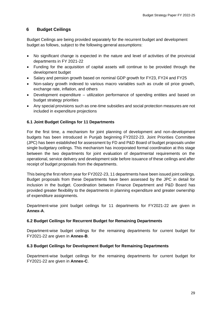# **6 Budget Ceilings**

Budget Ceilings are being provided separately for the recurrent budget and development budget as follows, subject to the following general assumptions:

- No significant change is expected in the nature and level of activities of the provincial departments in FY 2021-22
- Funding for the acquisition of capital assets will continue to be provided through the development budget
- Salary and pension growth based on nominal GDP growth for FY23, FY24 and FY25
- Non-salary growth indexed to various macro variables such as crude oil price growth, exchange rate, inflation, and others
- Development expenditure utilization performance of spending entities and based on budget strategy priorities
- Any special provisions such as one-time subsidies and social protection measures are not included in expenditure projections

# **6.1 Joint Budget Ceilings for 11 Departments**

For the first time, a mechanism for joint planning of development and non-development budgets has been introduced in Punjab beginning FY2022-23. Joint Priorities Committee (JPC) has been established for assessment by FD and P&D Board of budget proposals under single budgetary ceilings. This mechanism has incorporated formal coordination at this stage between the two departments for joint evaluation of departmental requirements on the operational, service delivery and development side before issuance of these ceilings and after receipt of budget proposals from the departments.

This being the first reform year for FY2022-23, 11 departments have been issued joint ceilings. Budget proposals from these Departments have been assessed by the JPC in detail for inclusion in the budget. Coordination between Finance Department and P&D Board has provided greater flexibility to the departments in planning expenditure and greater ownership of expenditure assignments.

Department-wise joint budget ceilings for 11 departments for FY2021-22 are given in **Annex-A**.

## **6.2 Budget Ceilings for Recurrent Budget for Remaining Departments**

Department-wise budget ceilings for the remaining departments for current budget for FY2021-22 are given in **Annex-B**.

## **6.3 Budget Ceilings for Development Budget for Remaining Departments**

Department-wise budget ceilings for the remaining departments for current budget for FY2021-22 are given in **Annex-C**.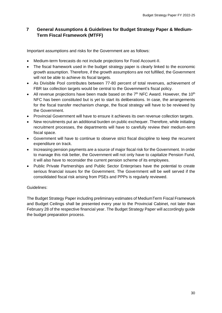# **7 General Assumptions & Guidelines for Budget Strategy Paper & Medium-Term Fiscal Framework (MTFF)**

Important assumptions and risks for the Government are as follows:

- Medium-term forecasts do not include projections for Food Account-II.
- The fiscal framework used in the budget strategy paper is clearly linked to the economic growth assumption. Therefore, if the growth assumptions are not fulfilled, the Government will not be able to achieve its fiscal targets.
- As Divisible Pool contributes between 77-80 percent of total revenues, achievement of FBR tax collection targets would be central to the Government's fiscal policy.
- All revenue projections have been made based on the  $7<sup>th</sup>$  NFC Award. However, the 10<sup>th</sup> NFC has been constituted but is yet to start its deliberations. In case, the arrangements for the fiscal transfer mechanism change, the fiscal strategy will have to be reviewed by the Government.
- Provincial Government will have to ensure it achieves its own revenue collection targets.
- New recruitments put an additional burden on public exchequer. Therefore, while initiating recruitment processes, the departments will have to carefully review their medium-term fiscal space.
- Government will have to continue to observe strict fiscal discipline to keep the recurrent expenditure on track.
- Increasing pension payments are a source of major fiscal risk for the Government. In order to manage this risk better, the Government will not only have to capitalize Pension Fund, it will also have to reconsider the current pension scheme of its employees.
- Public Private Partnerships and Public Sector Enterprises have the potential to create serious financial issues for the Government. The Government will be well served if the consolidated fiscal risk arising from PSEs and PPPs is regularly reviewed.

## Guidelines:

The Budget Strategy Paper including preliminary estimates of MediumTerm Fiscal Framework and Budget Ceilings shall be presented every year to the Provincial Cabinet, not later than February 28 of the respective financial year. The Budget Strategy Paper will accordingly guide the budget preparation process.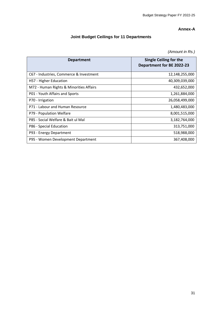#### **Annex-A**

# **Joint Budget Ceilings for 11 Departments**

*(Amount in Rs.)*

| <b>Department</b>                       | Single Ceiling for the<br>Department for BE 2022-23 |
|-----------------------------------------|-----------------------------------------------------|
| C67 - Industries, Commerce & Investment | 12,148,255,000                                      |
| H57 - Higher Education                  | 40,309,039,000                                      |
| M72 - Human Rights & Minorities Affairs | 432,652,000                                         |
| P01 - Youth Affairs and Sports          | 1,261,884,000                                       |
| P70 - Irrigation                        | 26,058,499,000                                      |
| P71 - Labour and Human Resource         | 1,480,483,000                                       |
| P79 - Population Welfare                | 8,001,515,000                                       |
| P85 - Social Welfare & Bait ul Mal      | 3,182,764,000                                       |
| P86 - Special Education                 | 313,751,000                                         |
| P93 - Energy Department                 | 518,988,000                                         |
| P95 - Women Development Department      | 367,408,000                                         |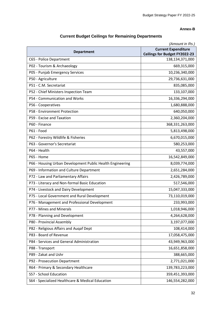#### **Annex-B**

# **Current Budget Ceilings for Remaining Departments**

| (Amount in Rs.)                                           |                                                                    |  |
|-----------------------------------------------------------|--------------------------------------------------------------------|--|
| <b>Department</b>                                         | <b>Current Expenditure</b><br><b>Ceilings for Budget FY2022-23</b> |  |
| C65 - Police Department                                   | 138,134,371,000                                                    |  |
| P02 - Tourism & Archaeology                               | 669,315,000                                                        |  |
| P05 - Punjab Emergency Services                           | 10,236,340,000                                                     |  |
| P50 - Agriculture                                         | 29,736,631,000                                                     |  |
| P51 - C.M. Secretariat                                    | 835,085,000                                                        |  |
| P52 - Chief Ministers Inspection Team                     | 133,107,000                                                        |  |
| P54 - Communication and Works                             | 16,336,294,000                                                     |  |
| P56 - Cooperatives                                        | 1,680,888,000                                                      |  |
| P58 - Environment Protection                              | 640,050,000                                                        |  |
| P59 - Excise and Taxation                                 | 2,360,204,000                                                      |  |
| P60 - Finance                                             | 368,331,263,000                                                    |  |
| P61 - Food                                                | 5,813,498,000                                                      |  |
| P62 - Forestry Wildlife & Fisheries                       | 6,670,015,000                                                      |  |
| P63 - Governor's Secretariat                              | 580,253,000                                                        |  |
| P64 - Health                                              | 43,557,000                                                         |  |
| P65 - Home                                                | 16,542,849,000                                                     |  |
| P66 - Housing Urban Development Public Health Engineering | 8,039,774,000                                                      |  |
| P69 - Information and Culture Department                  | 2,651,284,000                                                      |  |
| P72 - Law and Parliamentary Affairs                       | 2,426,789,000                                                      |  |
| P73 - Literacy and Non-formal Basic Education             | 517,546,000                                                        |  |
| P74 - Livestock and Dairy Development                     | 15,047,333,000                                                     |  |
| P75 - Local Government and Rural Development              | 73,110,019,000                                                     |  |
| P76 - Management and Professional Development             | 233,993,000                                                        |  |
| P77 - Mines and Minerals                                  | 1,018,946,000                                                      |  |
| P78 - Planning and Development                            | 4,264,628,000                                                      |  |
| P80 - Provincial Assembly                                 | 3,197,077,000                                                      |  |
| P82 - Religious Affairs and Auqaf Dept                    | 108,414,000                                                        |  |
| P83 - Board of Revenue                                    | 17,058,475,000                                                     |  |
| P84 - Services and General Administration                 | 43,949,963,000                                                     |  |
| P88 - Transport                                           | 16,651,858,000                                                     |  |
| P89 - Zakat and Ushr                                      | 388,665,000                                                        |  |
| P92 - Prosecution Department                              | 2,771,021,000                                                      |  |
| R64 - Primary & Secondary Healthcare                      | 139,783,223,000                                                    |  |
| S57 - School Education                                    | 359,451,393,000                                                    |  |
| S64 - Specialized Healthcare & Medical Education          | 146,554,282,000                                                    |  |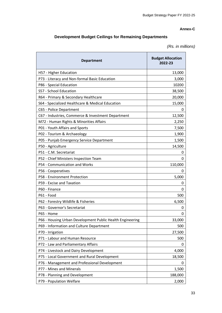#### **Annex-C**

# **Development Budget Ceilings for Remaining Departments**

*(Rs. in millions)*

| <b>Department</b>                                         | <b>Budget Allocation</b><br>2022-23 |  |
|-----------------------------------------------------------|-------------------------------------|--|
| H57 - Higher Education                                    | 13,000                              |  |
| P73 - Literacy and Non-formal Basic Education             | 3,000                               |  |
| P86 - Special Education                                   | 10200                               |  |
| S57 - School Education                                    | 38,500                              |  |
| R64 - Primary & Secondary Healthcare                      | 20,000                              |  |
| S64 - Specialized Healthcare & Medical Education          | 15,000                              |  |
| C65 - Police Department                                   | 0                                   |  |
| C67 - Industries, Commerce & Investment Department        | 12,500                              |  |
| M72 - Human Rights & Minorities Affairs                   | 2,250                               |  |
| P01 - Youth Affairs and Sports                            | 7,500                               |  |
| P02 - Tourism & Archaeology                               | 1,900                               |  |
| P05 - Punjab Emergency Service Department                 | 1,500                               |  |
| P50 - Agriculture                                         | 14,500                              |  |
| P51 - C.M. Secretariat                                    | O                                   |  |
| P52 - Chief Ministers Inspection Team                     | 0                                   |  |
| P54 - Communication and Works                             | 110,000                             |  |
| P56 - Cooperatives                                        |                                     |  |
| P58 - Environment Protection                              | 5,000                               |  |
| P59 - Excise and Taxation                                 | O                                   |  |
| P60 - Finance                                             | 0                                   |  |
| P61 - Food                                                | 500                                 |  |
| P62 - Forestry Wildlife & Fisheries                       | 6,500                               |  |
| P63 - Governor's Secretariat                              | 0                                   |  |
| P65 - Home                                                | 0                                   |  |
| P66 - Housing Urban Development Public Health Engineering | 33,000                              |  |
| P69 - Information and Culture Department                  | 500                                 |  |
| P70 - Irrigation                                          | 27,500                              |  |
| P71 - Labour and Human Resource                           | 500                                 |  |
| P72 - Law and Parliamentary Affairs                       | O                                   |  |
| P74 - Livestock and Dairy Development                     | 4,000                               |  |
| P75 - Local Government and Rural Development              | 18,500                              |  |
| P76 - Management and Professional Development             | 0                                   |  |
| P77 - Mines and Minerals                                  | 1,500                               |  |
| P78 - Planning and Development                            | 188,000                             |  |
| P79 - Population Welfare                                  | 2,000                               |  |